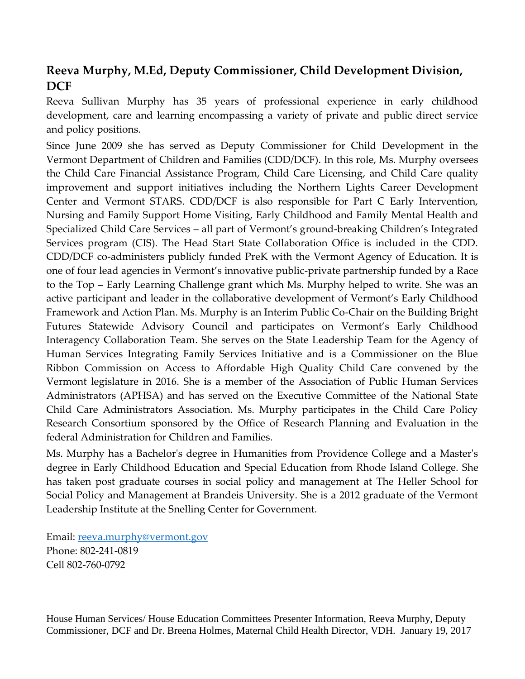## **Reeva Murphy, M.Ed, Deputy Commissioner, Child Development Division, DCF**

Reeva Sullivan Murphy has 35 years of professional experience in early childhood development, care and learning encompassing a variety of private and public direct service and policy positions.

Since June 2009 she has served as Deputy Commissioner for Child Development in the Vermont Department of Children and Families (CDD/DCF). In this role, Ms. Murphy oversees the Child Care Financial Assistance Program, Child Care Licensing, and Child Care quality improvement and support initiatives including the Northern Lights Career Development Center and Vermont STARS. CDD/DCF is also responsible for Part C Early Intervention, Nursing and Family Support Home Visiting, Early Childhood and Family Mental Health and Specialized Child Care Services – all part of Vermont's ground-breaking Children's Integrated Services program (CIS). The Head Start State Collaboration Office is included in the CDD. CDD/DCF co-administers publicly funded PreK with the Vermont Agency of Education. It is one of four lead agencies in Vermont's innovative public-private partnership funded by a Race to the Top – Early Learning Challenge grant which Ms. Murphy helped to write. She was an active participant and leader in the collaborative development of Vermont's Early Childhood Framework and Action Plan. Ms. Murphy is an Interim Public Co-Chair on the Building Bright Futures Statewide Advisory Council and participates on Vermont's Early Childhood Interagency Collaboration Team. She serves on the State Leadership Team for the Agency of Human Services Integrating Family Services Initiative and is a Commissioner on the Blue Ribbon Commission on Access to Affordable High Quality Child Care convened by the Vermont legislature in 2016. She is a member of the Association of Public Human Services Administrators (APHSA) and has served on the Executive Committee of the National State Child Care Administrators Association. Ms. Murphy participates in the Child Care Policy Research Consortium sponsored by the Office of Research Planning and Evaluation in the federal Administration for Children and Families.

Ms. Murphy has a Bachelor's degree in Humanities from Providence College and a Master's degree in Early Childhood Education and Special Education from Rhode Island College. She has taken post graduate courses in social policy and management at The Heller School for Social Policy and Management at Brandeis University. She is a 2012 graduate of the Vermont Leadership Institute at the Snelling Center for Government.

Email: [reeva.murphy@vermont.gov](mailto:reeva.murphy@vermont.gov) Phone: 802-241-0819 Cell 802-760-0792

House Human Services/ House Education Committees Presenter Information, Reeva Murphy, Deputy Commissioner, DCF and Dr. Breena Holmes, Maternal Child Health Director, VDH. January 19, 2017